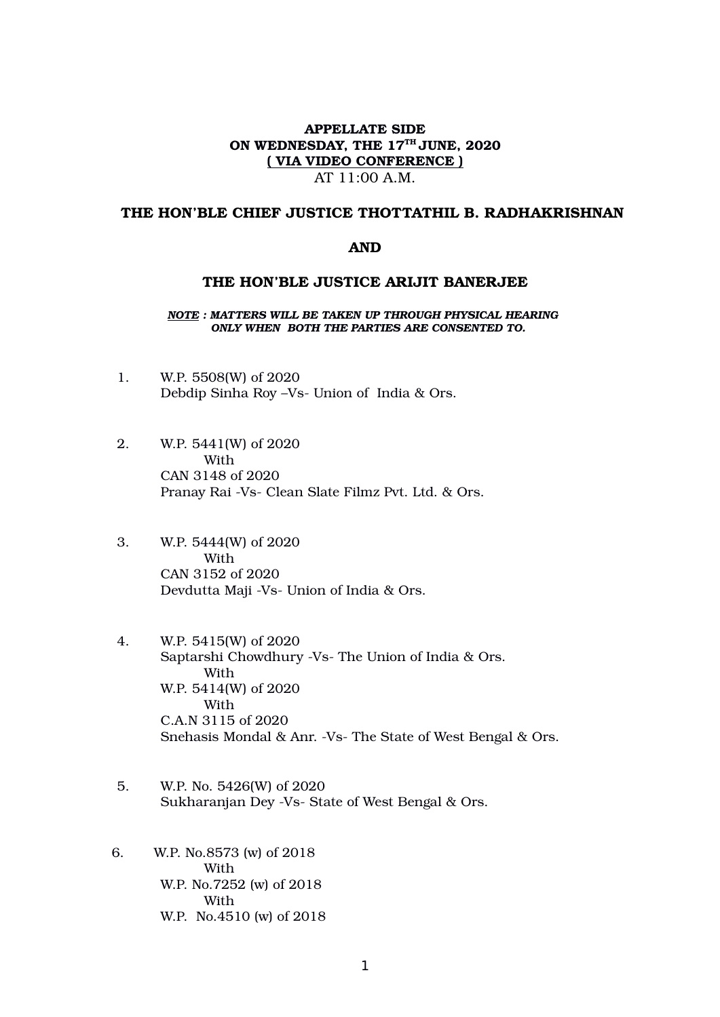### APPELLATE SIDE ON WEDNESDAY, THE 17<sup>TH</sup> JUNE, 2020 ( VIA VIDEO CONFERENCE ) AT 11:00 A.M.

### THE HON'BLE CHIEF JUSTICE THOTTATHIL B. RADHAKRISHNAN

#### AND

#### THE HON'BLE JUSTICE ARIJIT BANERJEE

*NOTE : MATTERS WILL BE TAKEN UP THROUGH PHYSICAL HEARING ONLY WHEN BOTH THE PARTIES ARE CONSENTED TO.*

- 1. W.P. 5508(W) of 2020 Debdip Sinha Roy –Vs- Union of India & Ors.
- 2. W.P. 5441(W) of 2020 With CAN 3148 of 2020 Pranay Rai -Vs- Clean Slate Filmz Pvt. Ltd. & Ors.
- 3. W.P. 5444(W) of 2020 With CAN 3152 of 2020 Devdutta Maji -Vs- Union of India & Ors.
- 4. W.P. 5415(W) of 2020 Saptarshi Chowdhury -Vs- The Union of India & Ors. With W.P. 5414(W) of 2020 With C.A.N 3115 of 2020 Snehasis Mondal & Anr. -Vs- The State of West Bengal & Ors.
- 5. W.P. No. 5426(W) of 2020 Sukharanjan Dey -Vs- State of West Bengal & Ors.
- 6. W.P. No.8573 (w) of 2018 With W.P. No.7252 (w) of 2018 With W.P. No.4510 (w) of 2018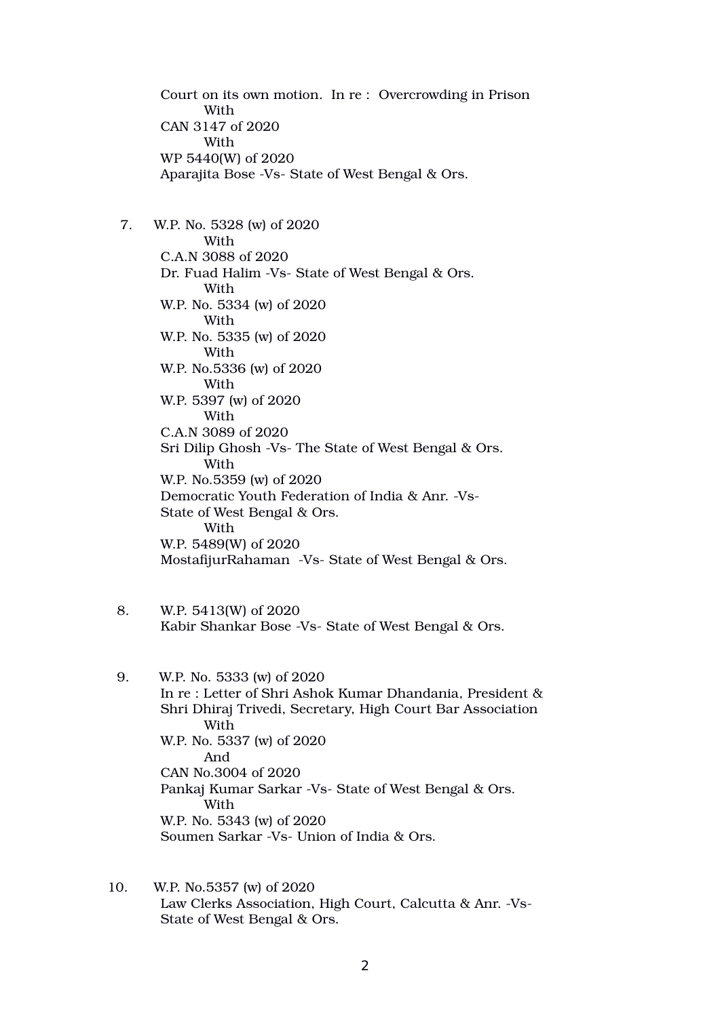Court on its own motion. In re : Overcrowding in Prison With CAN 3147 of 2020 With WP 5440(W) of 2020 Aparajita Bose -Vs- State of West Bengal & Ors.

 7. W.P. No. 5328 (w) of 2020 With C.A.N 3088 of 2020 Dr. Fuad Halim -Vs- State of West Bengal & Ors. With W.P. No. 5334 (w) of 2020 With W.P. No. 5335 (w) of 2020 With W.P. No.5336 (w) of 2020 With W.P. 5397 (w) of 2020 With C.A.N 3089 of 2020 Sri Dilip Ghosh -Vs- The State of West Bengal & Ors. With W.P. No.5359 (w) of 2020 Democratic Youth Federation of India & Anr. -Vs-State of West Bengal & Ors. With W.P. 5489(W) of 2020 MostafijurRahaman -Vs- State of West Bengal & Ors.

- 8. W.P. 5413(W) of 2020 Kabir Shankar Bose -Vs- State of West Bengal & Ors.
- 9. W.P. No. 5333 (w) of 2020 In re : Letter of Shri Ashok Kumar Dhandania, President & Shri Dhiraj Trivedi, Secretary, High Court Bar Association **With** W.P. No. 5337 (w) of 2020 And CAN No.3004 of 2020 Pankaj Kumar Sarkar -Vs- State of West Bengal & Ors. With W.P. No. 5343 (w) of 2020 Soumen Sarkar -Vs- Union of India & Ors.
- 10. W.P. No.5357 (w) of 2020 Law Clerks Association, High Court, Calcutta & Anr. -Vs-State of West Bengal & Ors.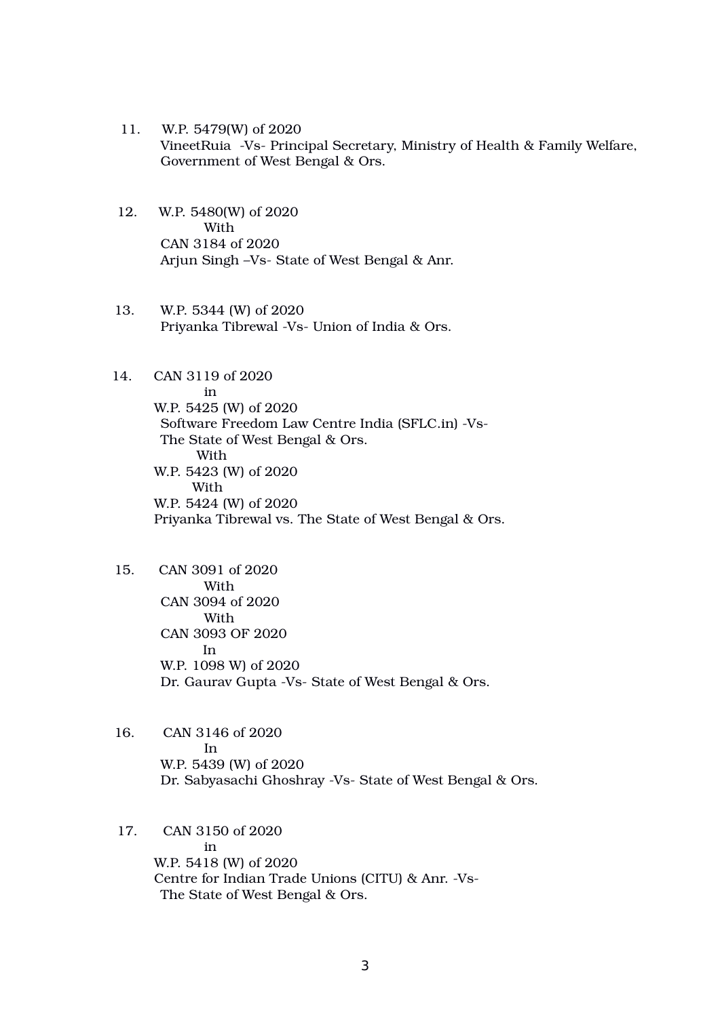- 11. W.P. 5479(W) of 2020 VineetRuia -Vs- Principal Secretary, Ministry of Health & Family Welfare, Government of West Bengal & Ors.
- 12. W.P. 5480(W) of 2020 With CAN 3184 of 2020 Arjun Singh –Vs- State of West Bengal & Anr.
- 13. W.P. 5344 (W) of 2020 Priyanka Tibrewal -Vs- Union of India & Ors.

# 14. CAN 3119 of 2020

in W.P. 5425 (W) of 2020 Software Freedom Law Centre India (SFLC.in) -Vs-The State of West Bengal & Ors. With W.P. 5423 (W) of 2020 With W.P. 5424 (W) of 2020 Priyanka Tibrewal vs. The State of West Bengal & Ors.

- 15. CAN 3091 of 2020 With CAN 3094 of 2020 With CAN 3093 OF 2020 In W.P. 1098 W) of 2020 Dr. Gaurav Gupta -Vs- State of West Bengal & Ors.
- 16. CAN 3146 of 2020 **In the set of the set of the set of the set of the set of the set of the set of the set of the set of the set o**  W.P. 5439 (W) of 2020 Dr. Sabyasachi Ghoshray -Vs- State of West Bengal & Ors.

#### 17. CAN 3150 of 2020

in W.P. 5418 (W) of 2020 Centre for Indian Trade Unions (CITU) & Anr. -Vs-The State of West Bengal & Ors.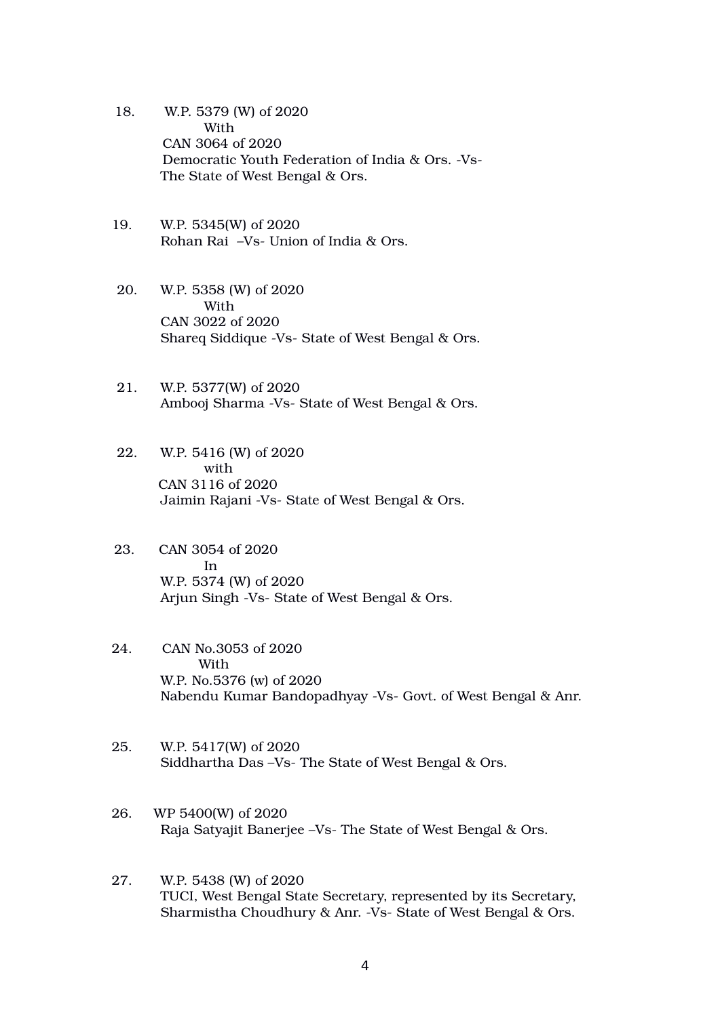- 18. W.P. 5379 (W) of 2020 With CAN 3064 of 2020 Democratic Youth Federation of India & Ors. -Vs-The State of West Bengal & Ors.
- 19. W.P. 5345(W) of 2020 Rohan Rai –Vs- Union of India & Ors.
- 20. W.P. 5358 (W) of 2020 With CAN 3022 of 2020 Shareq Siddique -Vs- State of West Bengal & Ors.
- 21. W.P. 5377(W) of 2020 Ambooj Sharma -Vs- State of West Bengal & Ors.
- 22. W.P. 5416 (W) of 2020 with CAN 3116 of 2020 Jaimin Rajani -Vs- State of West Bengal & Ors.
- 23. CAN 3054 of 2020 **In the set of the set of the set of the set of the set of the set of the set of the set of the set of the set o**  W.P. 5374 (W) of 2020 Arjun Singh -Vs- State of West Bengal & Ors.
	- 24. CAN No.3053 of 2020 With W.P. No.5376 (w) of 2020 Nabendu Kumar Bandopadhyay -Vs- Govt. of West Bengal & Anr.
	- 25. W.P. 5417(W) of 2020 Siddhartha Das –Vs- The State of West Bengal & Ors.
	- 26. WP 5400(W) of 2020 Raja Satyajit Banerjee –Vs- The State of West Bengal & Ors.
	- 27. W.P. 5438 (W) of 2020 TUCI, West Bengal State Secretary, represented by its Secretary, Sharmistha Choudhury & Anr. -Vs- State of West Bengal & Ors.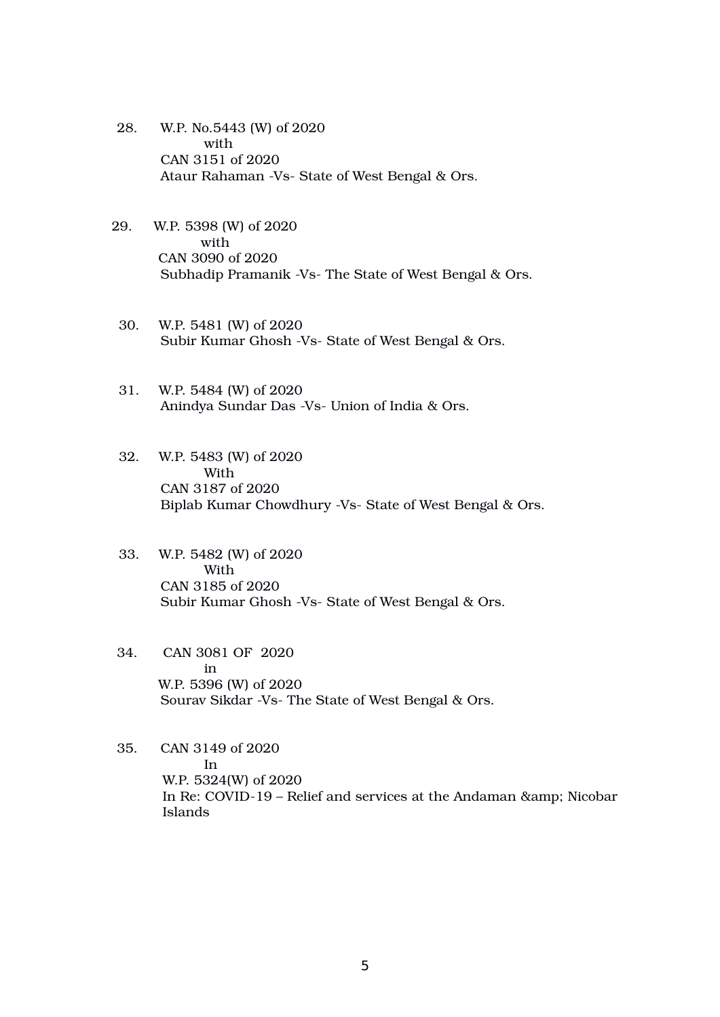- 28. W.P. No.5443 (W) of 2020 with CAN 3151 of 2020 Ataur Rahaman -Vs- State of West Bengal & Ors.
- 29. W.P. 5398 (W) of 2020 with CAN 3090 of 2020 Subhadip Pramanik -Vs- The State of West Bengal & Ors.
	- 30. W.P. 5481 (W) of 2020 Subir Kumar Ghosh -Vs- State of West Bengal & Ors.
	- 31. W.P. 5484 (W) of 2020 Anindya Sundar Das -Vs- Union of India & Ors.
	- 32. W.P. 5483 (W) of 2020 With CAN 3187 of 2020 Biplab Kumar Chowdhury -Vs- State of West Bengal & Ors.
	- 33. W.P. 5482 (W) of 2020 With CAN 3185 of 2020 Subir Kumar Ghosh -Vs- State of West Bengal & Ors.
- 34. CAN 3081 OF 2020 in W.P. 5396 (W) of 2020 Sourav Sikdar -Vs- The State of West Bengal & Ors.
- 35. CAN 3149 of 2020 In W.P. 5324(W) of 2020 In Re: COVID-19 – Relief and services at the Andaman & amp; Nicobar Islands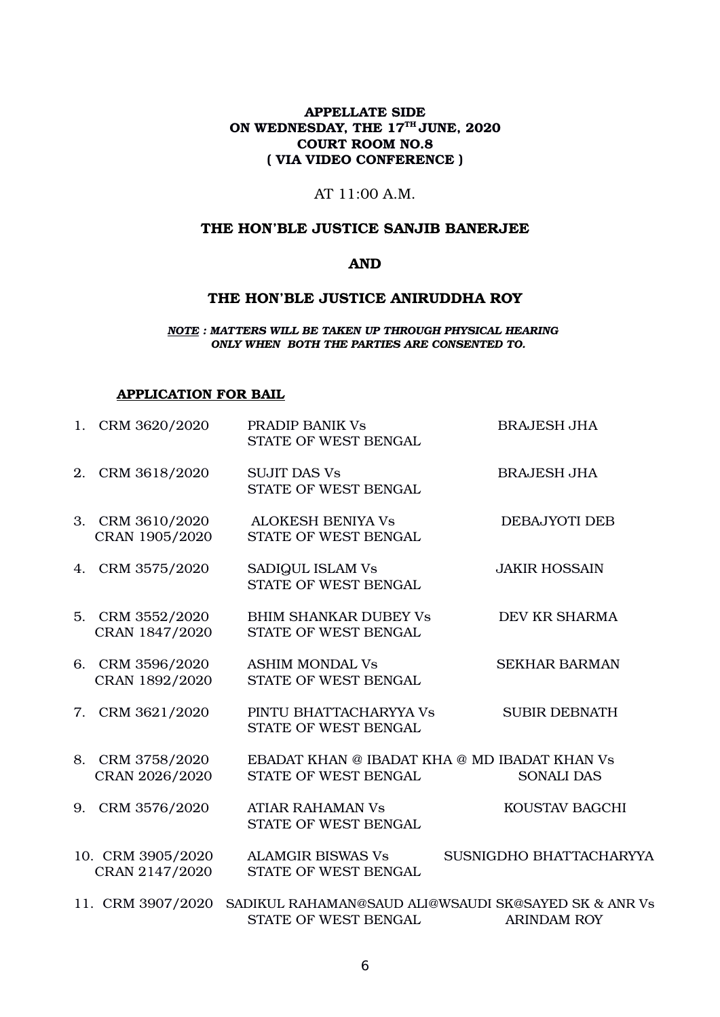### APPELLATE SIDE ON WEDNESDAY, THE 17<sup>TH</sup> JUNE, 2020 COURT ROOM NO.8 ( VIA VIDEO CONFERENCE )

### AT 11:00 A.M.

### THE HON'BLE JUSTICE SANJIB BANERJEE

## AND

#### THE HON'BLE JUSTICE ANIRUDDHA ROY

#### *NOTE : MATTERS WILL BE TAKEN UP THROUGH PHYSICAL HEARING ONLY WHEN BOTH THE PARTIES ARE CONSENTED TO.*

#### APPLICATION FOR BAIL

|    | 1. CRM 3620/2020                    | PRADIP BANIK Vs<br>STATE OF WEST BENGAL                                      | <b>BRAJESH JHA</b>      |
|----|-------------------------------------|------------------------------------------------------------------------------|-------------------------|
| 2. | CRM 3618/2020                       | <b>SUJIT DAS Vs</b><br>STATE OF WEST BENGAL                                  | <b>BRAJESH JHA</b>      |
|    | 3. CRM 3610/2020<br>CRAN 1905/2020  | <b>ALOKESH BENIYA Vs</b><br>STATE OF WEST BENGAL                             | DEBAJYOTI DEB           |
|    | 4. CRM 3575/2020                    | SADIQUL ISLAM Vs<br>STATE OF WEST BENGAL                                     | <b>JAKIR HOSSAIN</b>    |
|    | 5. CRM 3552/2020<br>CRAN 1847/2020  | <b>BHIM SHANKAR DUBEY Vs</b><br>STATE OF WEST BENGAL                         | DEV KR SHARMA           |
|    | 6. CRM 3596/2020<br>CRAN 1892/2020  | <b>ASHIM MONDAL Vs</b><br>STATE OF WEST BENGAL                               | <b>SEKHAR BARMAN</b>    |
|    | 7. CRM 3621/2020                    | PINTU BHATTACHARYYA Vs<br>STATE OF WEST BENGAL                               | <b>SUBIR DEBNATH</b>    |
|    | 8. CRM 3758/2020                    | EBADAT KHAN @ IBADAT KHA @ MD IBADAT KHAN Vs                                 |                         |
|    | CRAN 2026/2020                      | STATE OF WEST BENGAL                                                         | <b>SONALI DAS</b>       |
|    | 9. CRM 3576/2020                    | <b>ATIAR RAHAMAN Vs</b><br>STATE OF WEST BENGAL                              | KOUSTAV BAGCHI          |
|    | 10. CRM 3905/2020<br>CRAN 2147/2020 | <b>ALAMGIR BISWAS Vs</b><br>STATE OF WEST BENGAL                             | SUSNIGDHO BHATTACHARYYA |
|    | 11. CRM 3907/2020                   | SADIKUL RAHAMAN@SAUD ALI@WSAUDI SK@SAYED SK & ANR Vs<br>STATE OF WEST BENGAL | <b>ARINDAM ROY</b>      |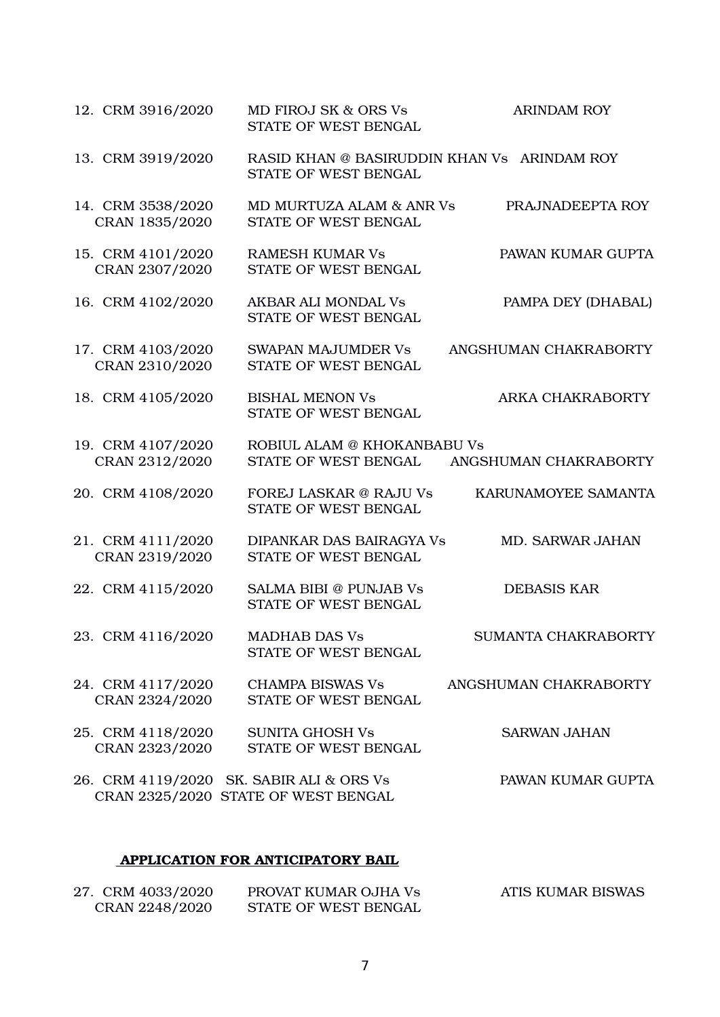| 12. CRM 3916/2020                   | MD FIROJ SK & ORS Vs<br>STATE OF WEST BENGAL                                    | <b>ARINDAM ROY</b>      |
|-------------------------------------|---------------------------------------------------------------------------------|-------------------------|
| 13. CRM 3919/2020                   | RASID KHAN @ BASIRUDDIN KHAN Vs ARINDAM ROY<br><b>STATE OF WEST BENGAL</b>      |                         |
| 14. CRM 3538/2020<br>CRAN 1835/2020 | MD MURTUZA ALAM & ANR Vs<br>STATE OF WEST BENGAL                                | PRAJNADEEPTA ROY        |
| 15. CRM 4101/2020<br>CRAN 2307/2020 | <b>RAMESH KUMAR Vs</b><br>STATE OF WEST BENGAL                                  | PAWAN KUMAR GUPTA       |
| 16. CRM 4102/2020                   | <b>AKBAR ALI MONDAL Vs</b><br>STATE OF WEST BENGAL                              | PAMPA DEY (DHABAL)      |
| 17. CRM 4103/2020<br>CRAN 2310/2020 | <b>SWAPAN MAJUMDER Vs</b><br>STATE OF WEST BENGAL                               | ANGSHUMAN CHAKRABORTY   |
| 18. CRM 4105/2020                   | <b>BISHAL MENON Vs</b><br>STATE OF WEST BENGAL                                  | ARKA CHAKRABORTY        |
| 19. CRM 4107/2020<br>CRAN 2312/2020 | ROBIUL ALAM @ KHOKANBABU Vs<br>STATE OF WEST BENGAL                             | ANGSHUMAN CHAKRABORTY   |
| 20. CRM 4108/2020                   | <b>FOREJ LASKAR @ RAJU Vs</b><br>STATE OF WEST BENGAL                           | KARUNAMOYEE SAMANTA     |
| 21. CRM 4111/2020<br>CRAN 2319/2020 | DIPANKAR DAS BAIRAGYA Vs<br>STATE OF WEST BENGAL                                | <b>MD. SARWAR JAHAN</b> |
| 22. CRM 4115/2020                   | <b>SALMA BIBI @ PUNJAB Vs</b><br>STATE OF WEST BENGAL                           | <b>DEBASIS KAR</b>      |
| 23. CRM 4116/2020                   | <b>MADHAB DAS Vs</b><br>STATE OF WEST BENGAL                                    | SUMANTA CHAKRABORTY     |
| 24. CRM 4117/2020<br>CRAN 2324/2020 | <b>CHAMPA BISWAS Vs</b><br>STATE OF WEST BENGAL                                 | ANGSHUMAN CHAKRABORTY   |
| 25. CRM 4118/2020<br>CRAN 2323/2020 | <b>SUNITA GHOSH Vs</b><br>STATE OF WEST BENGAL                                  | <b>SARWAN JAHAN</b>     |
|                                     | 26. CRM 4119/2020 SK. SABIR ALI & ORS Vs<br>CRAN 2325/2020 STATE OF WEST BENGAL | PAWAN KUMAR GUPTA       |

# APPLICATION FOR ANTICIPATORY BAIL

| 27. CRM 4033/2020 | PROVAT KUMAR OJHA Vs | ATIS KUMAR BISWAS |
|-------------------|----------------------|-------------------|
| CRAN 2248/2020    | STATE OF WEST BENGAL |                   |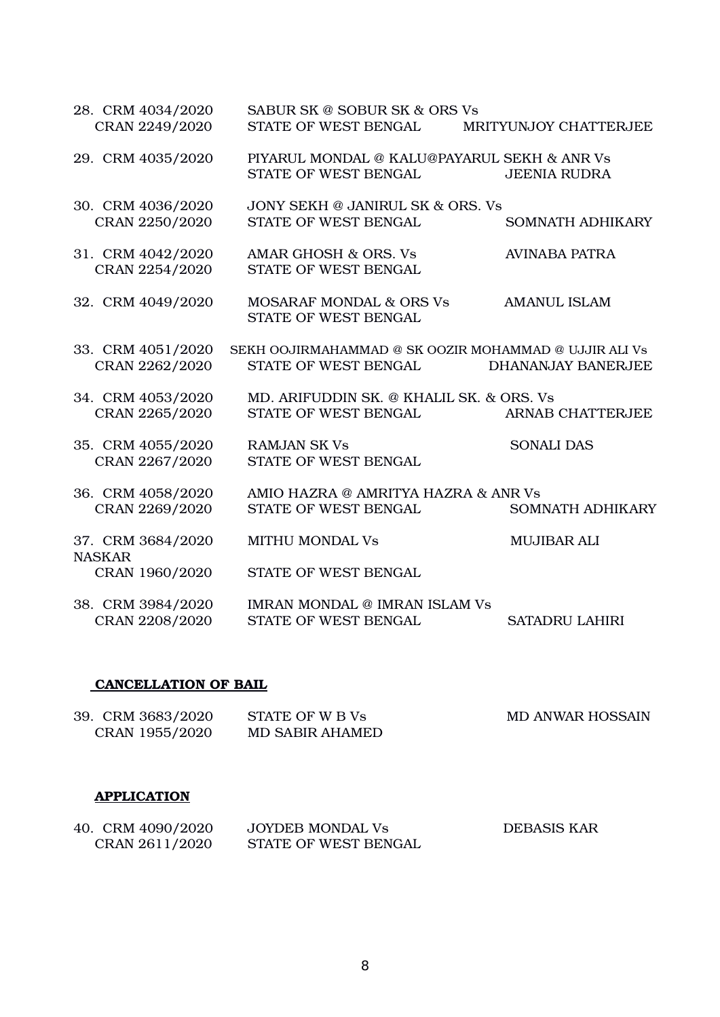| 28. CRM 4034/2020<br>CRAN 2249/2020                   | SABUR SK @ SOBUR SK & ORS Vs<br>STATE OF WEST BENGAL                          | MRITYUNJOY CHATTERJEE     |
|-------------------------------------------------------|-------------------------------------------------------------------------------|---------------------------|
| 29. CRM 4035/2020                                     | PIYARUL MONDAL @ KALU@PAYARUL SEKH & ANR Vs<br>STATE OF WEST BENGAL           | <b>JEENIA RUDRA</b>       |
| 30. CRM 4036/2020<br>CRAN 2250/2020                   | <b>JONY SEKH @ JANIRUL SK &amp; ORS. Vs</b><br>STATE OF WEST BENGAL           | SOMNATH ADHIKARY          |
| 31. CRM 4042/2020<br>CRAN 2254/2020                   | AMAR GHOSH & ORS. Vs<br>STATE OF WEST BENGAL                                  | <b>AVINABA PATRA</b>      |
| 32. CRM 4049/2020                                     | <b>MOSARAF MONDAL &amp; ORS Vs</b><br>STATE OF WEST BENGAL                    | <b>AMANUL ISLAM</b>       |
| 33. CRM 4051/2020<br>CRAN 2262/2020                   | SEKH OOJIRMAHAMMAD @ SK OOZIR MOHAMMAD @ UJJIR ALI Vs<br>STATE OF WEST BENGAL | <b>DHANANJAY BANERJEE</b> |
| 34. CRM 4053/2020<br>CRAN 2265/2020                   | MD. ARIFUDDIN SK. @ KHALIL SK. & ORS. Vs<br>STATE OF WEST BENGAL              | ARNAB CHATTERJEE          |
| 35. CRM 4055/2020<br>CRAN 2267/2020                   | <b>RAMJAN SK Vs</b><br>STATE OF WEST BENGAL                                   | <b>SONALI DAS</b>         |
| 36. CRM 4058/2020<br>CRAN 2269/2020                   | AMIO HAZRA @ AMRITYA HAZRA & ANR Vs<br>STATE OF WEST BENGAL                   | <b>SOMNATH ADHIKARY</b>   |
| 37. CRM 3684/2020<br><b>NASKAR</b>                    | <b>MITHU MONDAL Vs</b><br>STATE OF WEST BENGAL                                | <b>MUJIBAR ALI</b>        |
| CRAN 1960/2020<br>38. CRM 3984/2020<br>CRAN 2208/2020 | <b>IMRAN MONDAL @ IMRAN ISLAM Vs</b><br>STATE OF WEST BENGAL                  | <b>SATADRU LAHIRI</b>     |

# CANCELLATION OF BAIL

| 39. CRM 3683/2020 | STATE OF W B Vs        | <b>MD ANWAR HOSSAIN</b> |
|-------------------|------------------------|-------------------------|
| CRAN 1955/2020    | <b>MD SABIR AHAMED</b> |                         |

# **APPLICATION**

| 40. CRM 4090/2020 | JOYDEB MONDAL Vs     | <b>DEBASIS KAR</b> |
|-------------------|----------------------|--------------------|
| CRAN 2611/2020    | STATE OF WEST BENGAL |                    |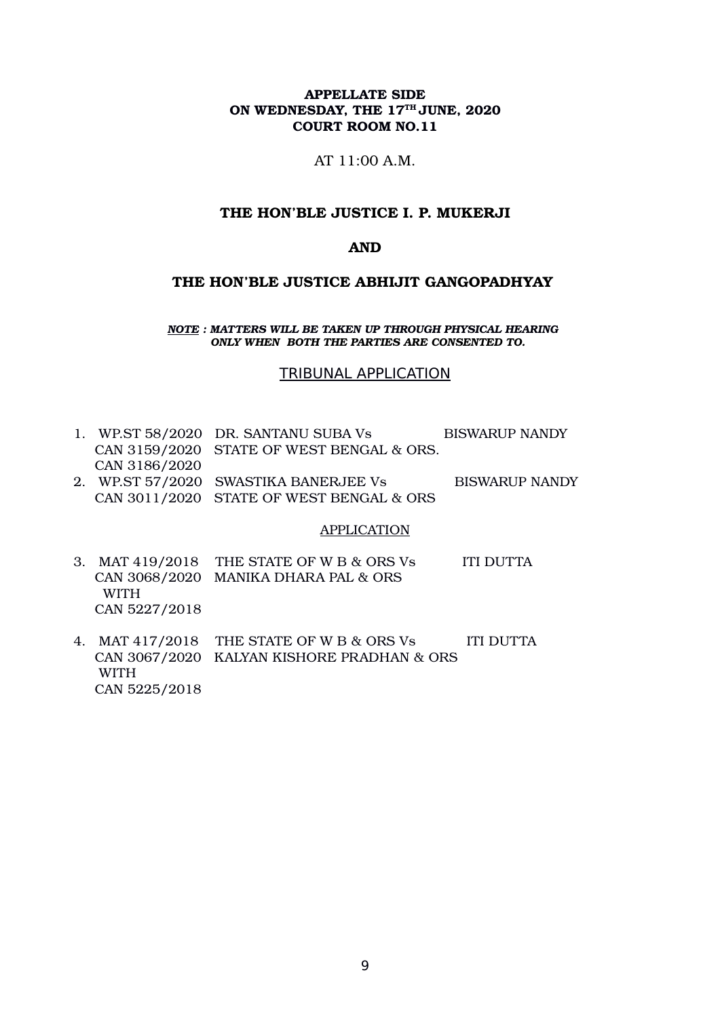AT 11:00 A.M.

### THE HON'BLE JUSTICE I. P. MUKERJI

### AND

#### THE HON'BLE JUSTICE ABHIJIT GANGOPADHYAY

*NOTE : MATTERS WILL BE TAKEN UP THROUGH PHYSICAL HEARING ONLY WHEN BOTH THE PARTIES ARE CONSENTED TO.*

#### TRIBUNAL APPLICATION

1. WP.ST 58/2020 DR. SANTANU SUBA Vs BISWARUP NANDY CAN 3159/2020 STATE OF WEST BENGAL & ORS. CAN 3186/2020 2. WP.ST 57/2020 SWASTIKA BANERJEE Vs BISWARUP NANDY CAN 3011/2020 STATE OF WEST BENGAL & ORS

#### APPLICATION

- 3. MAT 419/2018 THE STATE OF W B & ORS Vs ITI DUTTA CAN 3068/2020 MANIKA DHARA PAL & ORS WITH CAN 5227/2018
- 4. MAT 417/2018 THE STATE OF W B & ORS Vs ITI DUTTA CAN 3067/2020 KALYAN KISHORE PRADHAN & ORS WITH CAN 5225/2018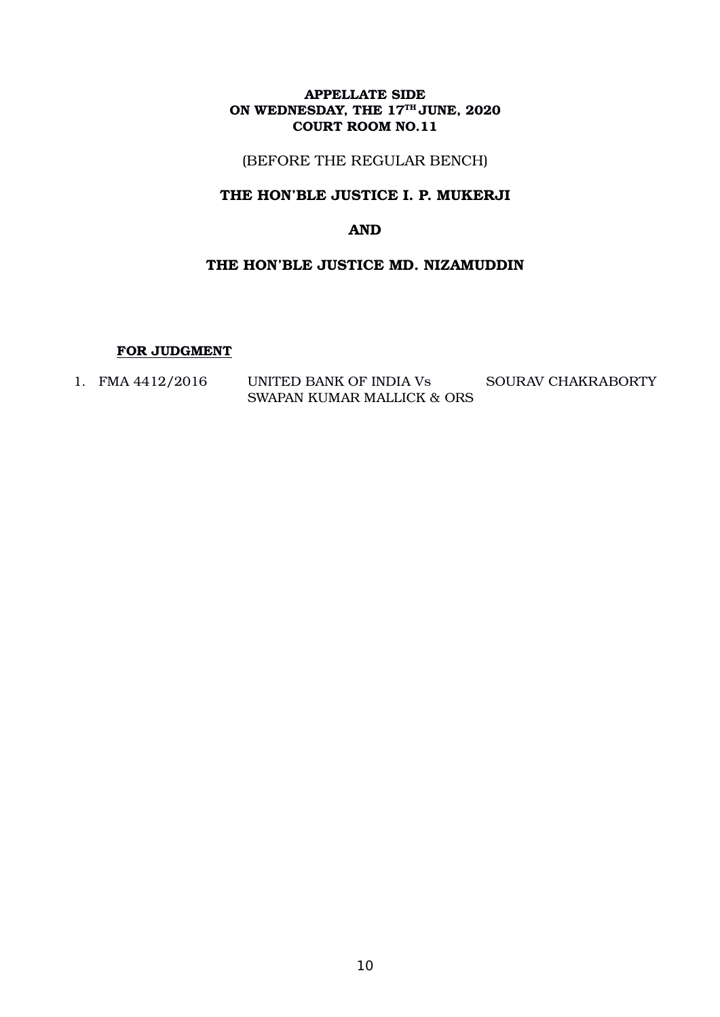(BEFORE THE REGULAR BENCH)

## THE HON'BLE JUSTICE I. P. MUKERJI

# AND

# THE HON'BLE JUSTICE MD. NIZAMUDDIN

#### FOR JUDGMENT

| FMA 4412/2016 | UNITED BANK OF INDIA Vs    | SOURAV CHAKRABORTY |
|---------------|----------------------------|--------------------|
|               | SWAPAN KUMAR MALLICK & ORS |                    |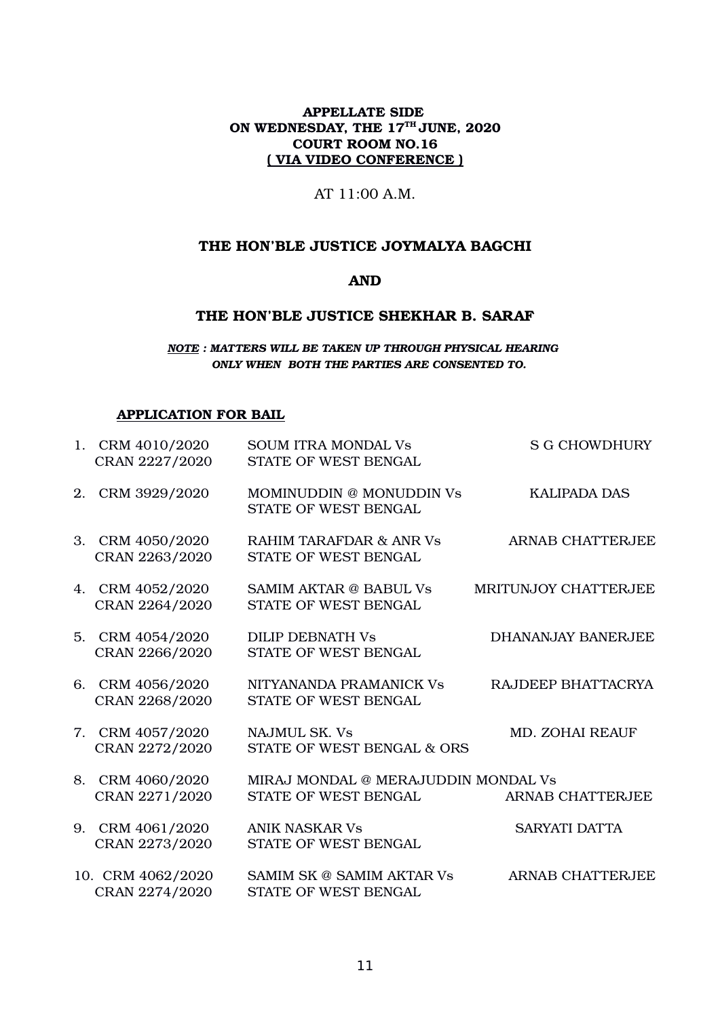### APPELLATE SIDE ON WEDNESDAY, THE 17<sup>TH</sup> JUNE, 2020 COURT ROOM NO.16 ( VIA VIDEO CONFERENCE )

### AT 11:00 A.M.

## THE HON'BLE JUSTICE JOYMALYA BAGCHI

### AND

# THE HON'BLE JUSTICE SHEKHAR B. SARAF

*NOTE : MATTERS WILL BE TAKEN UP THROUGH PHYSICAL HEARING ONLY WHEN BOTH THE PARTIES ARE CONSENTED TO.*

#### APPLICATION FOR BAIL

| 1. CRM 4010/2020<br>CRAN 2227/2020  | <b>SOUM ITRA MONDAL Vs</b><br>STATE OF WEST BENGAL          | <b>S G CHOWDHURY</b>      |
|-------------------------------------|-------------------------------------------------------------|---------------------------|
| 2. CRM 3929/2020                    | MOMINUDDIN @ MONUDDIN Vs<br>STATE OF WEST BENGAL            | <b>KALIPADA DAS</b>       |
| 3. CRM 4050/2020<br>CRAN 2263/2020  | <b>RAHIM TARAFDAR &amp; ANR Vs</b><br>STATE OF WEST BENGAL  | <b>ARNAB CHATTERJEE</b>   |
| 4. CRM 4052/2020<br>CRAN 2264/2020  | SAMIM AKTAR @ BABUL Vs<br>STATE OF WEST BENGAL              | MRITUNJOY CHATTERJEE      |
| 5. CRM 4054/2020<br>CRAN 2266/2020  | <b>DILIP DEBNATH Vs</b><br>STATE OF WEST BENGAL             | <b>DHANANJAY BANERJEE</b> |
| 6. CRM 4056/2020<br>CRAN 2268/2020  | NITYANANDA PRAMANICK Vs<br>STATE OF WEST BENGAL             | RAJDEEP BHATTACRYA        |
| 7. CRM 4057/2020<br>CRAN 2272/2020  | <b>NAJMUL SK. Vs</b><br>STATE OF WEST BENGAL & ORS          | <b>MD. ZOHAI REAUF</b>    |
| 8. CRM 4060/2020<br>CRAN 2271/2020  | MIRAJ MONDAL @ MERAJUDDIN MONDAL Vs<br>STATE OF WEST BENGAL | <b>ARNAB CHATTERJEE</b>   |
| 9. CRM 4061/2020<br>CRAN 2273/2020  | <b>ANIK NASKAR Vs</b><br>STATE OF WEST BENGAL               | <b>SARYATI DATTA</b>      |
| 10. CRM 4062/2020<br>CRAN 2274/2020 | SAMIM SK @ SAMIM AKTAR Vs<br>STATE OF WEST BENGAL           | <b>ARNAB CHATTERJEE</b>   |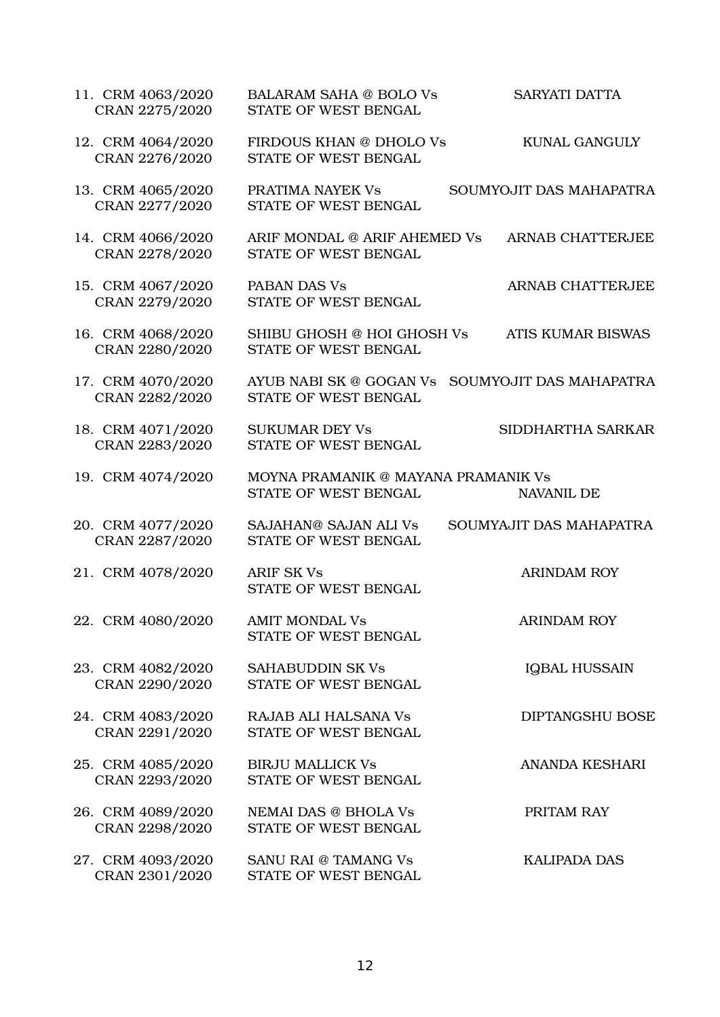| 11. CRM 4063/2020<br>CRAN 2275/2020 | <b>BALARAM SAHA @ BOLO Vs</b><br>STATE OF WEST BENGAL       | <b>SARYATI DATTA</b>     |
|-------------------------------------|-------------------------------------------------------------|--------------------------|
| 12. CRM 4064/2020<br>CRAN 2276/2020 | FIRDOUS KHAN @ DHOLO Vs<br>STATE OF WEST BENGAL             | <b>KUNAL GANGULY</b>     |
| 13. CRM 4065/2020<br>CRAN 2277/2020 | PRATIMA NAYEK Vs<br>STATE OF WEST BENGAL                    | SOUMYOJIT DAS MAHAPATRA  |
| 14. CRM 4066/2020<br>CRAN 2278/2020 | ARIF MONDAL @ ARIF AHEMED Vs<br>STATE OF WEST BENGAL        | <b>ARNAB CHATTERJEE</b>  |
| 15. CRM 4067/2020<br>CRAN 2279/2020 | PABAN DAS Vs<br>STATE OF WEST BENGAL                        | <b>ARNAB CHATTERJEE</b>  |
| 16. CRM 4068/2020<br>CRAN 2280/2020 | SHIBU GHOSH @ HOI GHOSH Vs<br>STATE OF WEST BENGAL          | <b>ATIS KUMAR BISWAS</b> |
| 17. CRM 4070/2020<br>CRAN 2282/2020 | AYUB NABI SK @ GOGAN Vs<br>STATE OF WEST BENGAL             | SOUMYOJIT DAS MAHAPATRA  |
| 18. CRM 4071/2020<br>CRAN 2283/2020 | <b>SUKUMAR DEY Vs</b><br>STATE OF WEST BENGAL               | SIDDHARTHA SARKAR        |
| 19. CRM 4074/2020                   | MOYNA PRAMANIK @ MAYANA PRAMANIK Vs<br>STATE OF WEST BENGAL | <b>NAVANIL DE</b>        |
| 20. CRM 4077/2020<br>CRAN 2287/2020 | SAJAHAN@ SAJAN ALI Vs<br>STATE OF WEST BENGAL               | SOUMYAJIT DAS MAHAPATRA  |
| 21. CRM 4078/2020                   | <b>ARIF SK Vs</b><br>STATE OF WEST BENGAL                   | <b>ARINDAM ROY</b>       |
| 22. CRM 4080/2020                   | <b>AMIT MONDAL Vs</b><br>STATE OF WEST BENGAL               | <b>ARINDAM ROY</b>       |
| 23. CRM 4082/2020<br>CRAN 2290/2020 | <b>SAHABUDDIN SK Vs</b><br>STATE OF WEST BENGAL             | <b>IQBAL HUSSAIN</b>     |
| 24. CRM 4083/2020<br>CRAN 2291/2020 | <b>RAJAB ALI HALSANA Vs</b><br>STATE OF WEST BENGAL         | <b>DIPTANGSHU BOSE</b>   |
| 25. CRM 4085/2020<br>CRAN 2293/2020 | <b>BIRJU MALLICK Vs</b><br>STATE OF WEST BENGAL             | <b>ANANDA KESHARI</b>    |
| 26. CRM 4089/2020<br>CRAN 2298/2020 | <b>NEMAI DAS @ BHOLA Vs</b><br>STATE OF WEST BENGAL         | PRITAM RAY               |
| 27. CRM 4093/2020<br>CRAN 2301/2020 | SANU RAI @ TAMANG Vs<br>STATE OF WEST BENGAL                | <b>KALIPADA DAS</b>      |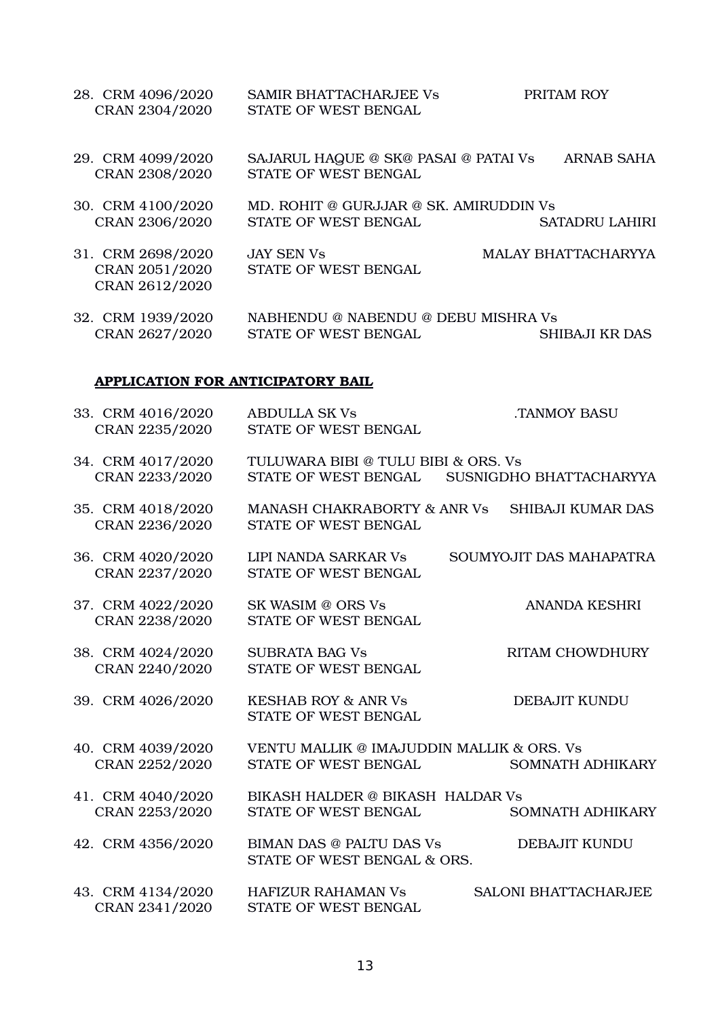28. CRM 4096/2020 SAMIR BHATTACHARJEE Vs PRITAM ROY CRAN 2304/2020 STATE OF WEST BENGAL 29. CRM 4099/2020 SAJARUL HAQUE @ SK@ PASAI @ PATAI Vs ARNAB SAHA CRAN 2308/2020 STATE OF WEST BENGAL 30. CRM 4100/2020 MD. ROHIT @ GURJJAR @ SK. AMIRUDDIN Vs CRAN 2306/2020 STATE OF WEST BENGAL SATADRU LAHIRI 31. CRM 2698/2020 JAY SEN Vs MALAY BHATTACHARYYA CRAN 2051/2020 STATE OF WEST BENGAL CRAN 2612/2020 32. CRM 1939/2020 NABHENDU @ NABENDU @ DEBU MISHRA Vs

CRAN 2627/2020 STATE OF WEST BENGAL SHIBAJI KR DAS

#### APPLICATION FOR ANTICIPATORY BAIL

| 33. CRM 4016/2020<br>CRAN 2235/2020 | <b>ABDULLA SK Vs</b><br>STATE OF WEST BENGAL                      | <b>.TANMOY BASU</b>         |
|-------------------------------------|-------------------------------------------------------------------|-----------------------------|
| 34. CRM 4017/2020<br>CRAN 2233/2020 | TULUWARA BIBI @ TULU BIBI & ORS. Vs<br>STATE OF WEST BENGAL       | SUSNIGDHO BHATTACHARYYA     |
| 35. CRM 4018/2020<br>CRAN 2236/2020 | MANASH CHAKRABORTY & ANR Vs<br>STATE OF WEST BENGAL               | <b>SHIBAJI KUMAR DAS</b>    |
| 36. CRM 4020/2020<br>CRAN 2237/2020 | <b>LIPI NANDA SARKAR Vs</b><br>STATE OF WEST BENGAL               | SOUMYOJIT DAS MAHAPATRA     |
| 37. CRM 4022/2020<br>CRAN 2238/2020 | SK WASIM @ ORS Vs<br>STATE OF WEST BENGAL                         | <b>ANANDA KESHRI</b>        |
| 38. CRM 4024/2020<br>CRAN 2240/2020 | <b>SUBRATA BAG Vs</b><br>STATE OF WEST BENGAL                     | <b>RITAM CHOWDHURY</b>      |
| 39. CRM 4026/2020                   | <b>KESHAB ROY &amp; ANR Vs</b><br>STATE OF WEST BENGAL            | DEBAJIT KUNDU               |
| 40. CRM 4039/2020<br>CRAN 2252/2020 | VENTU MALLIK @ IMAJUDDIN MALLIK & ORS. Vs<br>STATE OF WEST BENGAL | SOMNATH ADHIKARY            |
| 41. CRM 4040/2020<br>CRAN 2253/2020 | BIKASH HALDER @ BIKASH HALDAR Vs<br>STATE OF WEST BENGAL          | <b>SOMNATH ADHIKARY</b>     |
| 42. CRM 4356/2020                   | <b>BIMAN DAS @ PALTU DAS Vs</b><br>STATE OF WEST BENGAL & ORS.    | <b>DEBAJIT KUNDU</b>        |
| 43. CRM 4134/2020<br>CRAN 2341/2020 | <b>HAFIZUR RAHAMAN Vs</b><br>STATE OF WEST BENGAL                 | <b>SALONI BHATTACHARJEE</b> |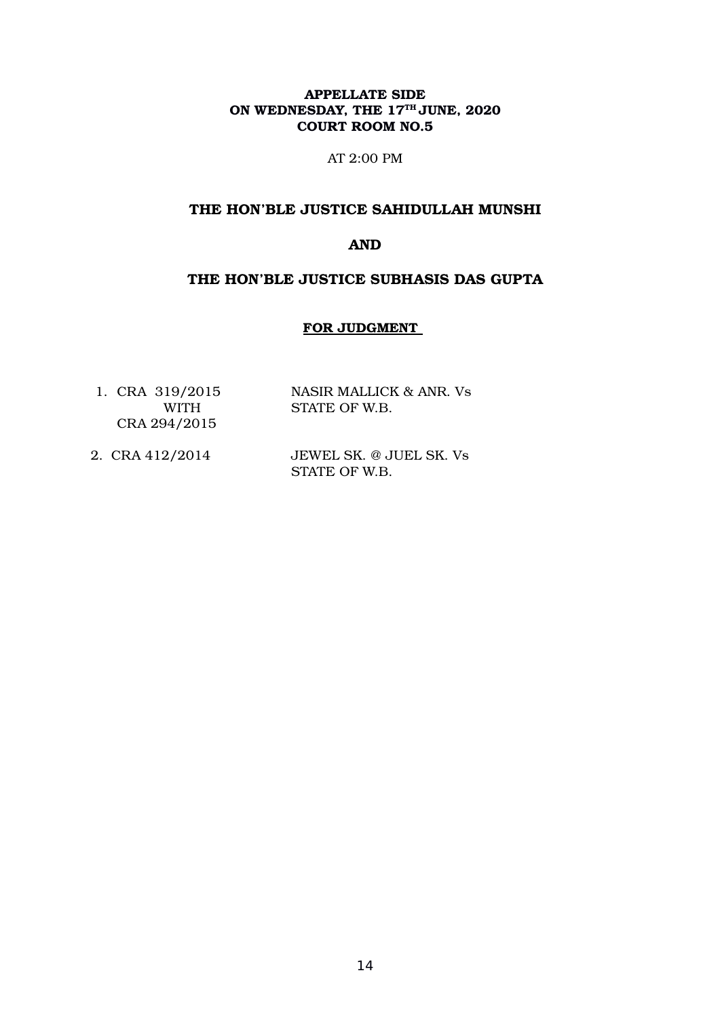AT 2:00 PM

## THE HON'BLE JUSTICE SAHIDULLAH MUNSHI

## AND

### THE HON'BLE JUSTICE SUBHASIS DAS GUPTA

### FOR JUDGMENT

| 1. CRA 319/2015  | NASIR MALLICK & ANR. Vs |
|------------------|-------------------------|
| WITH <b>WITH</b> | STATE OF W.B.           |
| CRA 294/2015     |                         |

2. CRA 412/2014 JEWEL SK. @ JUEL SK. Vs STATE OF W.B.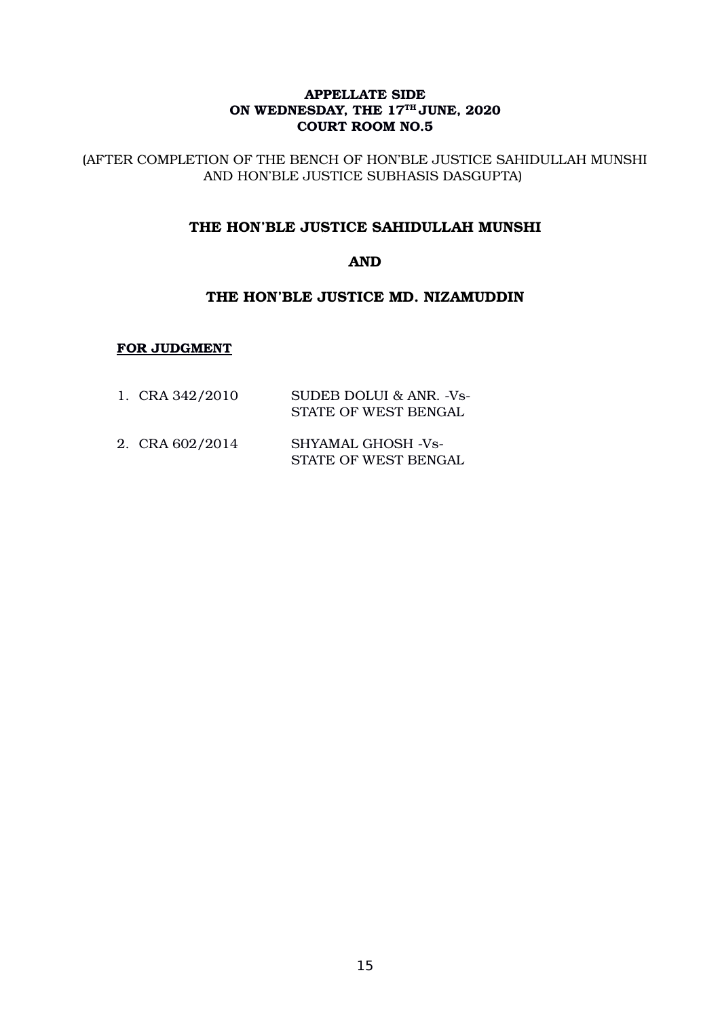(AFTER COMPLETION OF THE BENCH OF HON'BLE JUSTICE SAHIDULLAH MUNSHI AND HON'BLE JUSTICE SUBHASIS DASGUPTA)

## THE HON'BLE JUSTICE SAHIDULLAH MUNSHI

## AND

### THE HON'BLE JUSTICE MD. NIZAMUDDIN

### FOR JUDGMENT

| 1. CRA 342/2010 | SUDEB DOLUI & ANR. -Vs-<br>STATE OF WEST BENGAL |
|-----------------|-------------------------------------------------|
| $\sim$          | ---------- -------                              |

2. CRA 602/2014 SHYAMAL GHOSH -Vs- STATE OF WEST BENGAL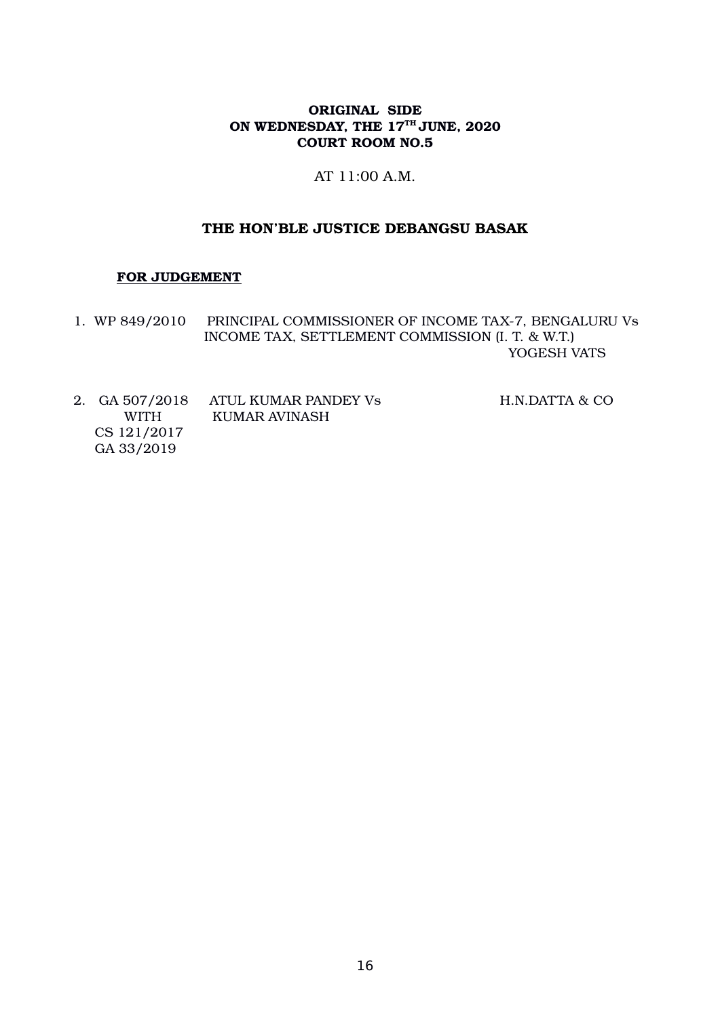### AT 11:00 A.M.

### THE HON'BLE JUSTICE DEBANGSU BASAK

#### FOR JUDGEMENT

- 1. WP 849/2010 PRINCIPAL COMMISSIONER OF INCOME TAX-7, BENGALURU Vs INCOME TAX, SETTLEMENT COMMISSION (I. T. & W.T.) YOGESH VATS
- 2. GA 507/2018 ATUL KUMAR PANDEY Vs H.N.DATTA & CO WITH KUMAR AVINASH CS 121/2017 GA 33/2019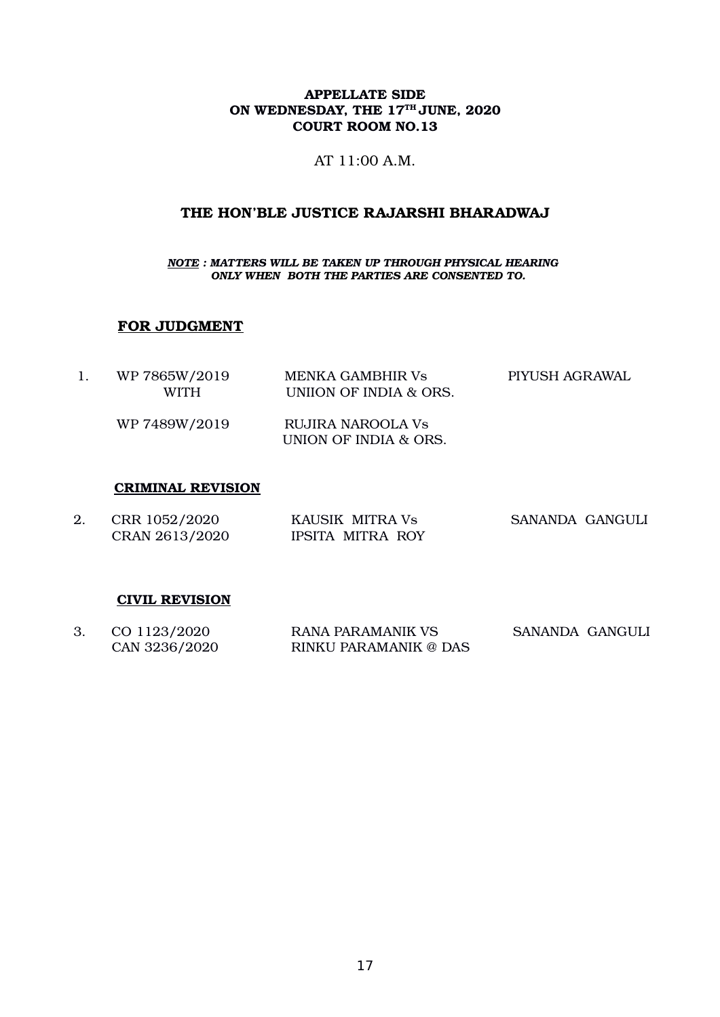AT 11:00 A.M.

# THE HON'BLE JUSTICE RAJARSHI BHARADWAJ

*NOTE : MATTERS WILL BE TAKEN UP THROUGH PHYSICAL HEARING ONLY WHEN BOTH THE PARTIES ARE CONSENTED TO.*

# FOR JUDGMENT

| WP 7865W/2019<br>WITH | MENKA GAMBHIR Vs<br>UNIION OF INDIA & ORS. | PIYUSH AGRAWAL |
|-----------------------|--------------------------------------------|----------------|
| WP 7489W/2019         | RUJIRA NAROOLA Vs<br>UNION OF INDIA & ORS. |                |

### CRIMINAL REVISION

| 2. | CRR 1052/2020  | KAUSIK MITRA Vs         | SANANDA GANGULI |  |
|----|----------------|-------------------------|-----------------|--|
|    | CRAN 2613/2020 | <b>IPSITA MITRA ROY</b> |                 |  |

#### CIVIL REVISION

| 3. CO 1123/2020 | <b>RANA PARAMANIK VS</b> | SANANDA GANGULI |  |
|-----------------|--------------------------|-----------------|--|
| CAN 3236/2020   | RINKU PARAMANIK @ DAS    |                 |  |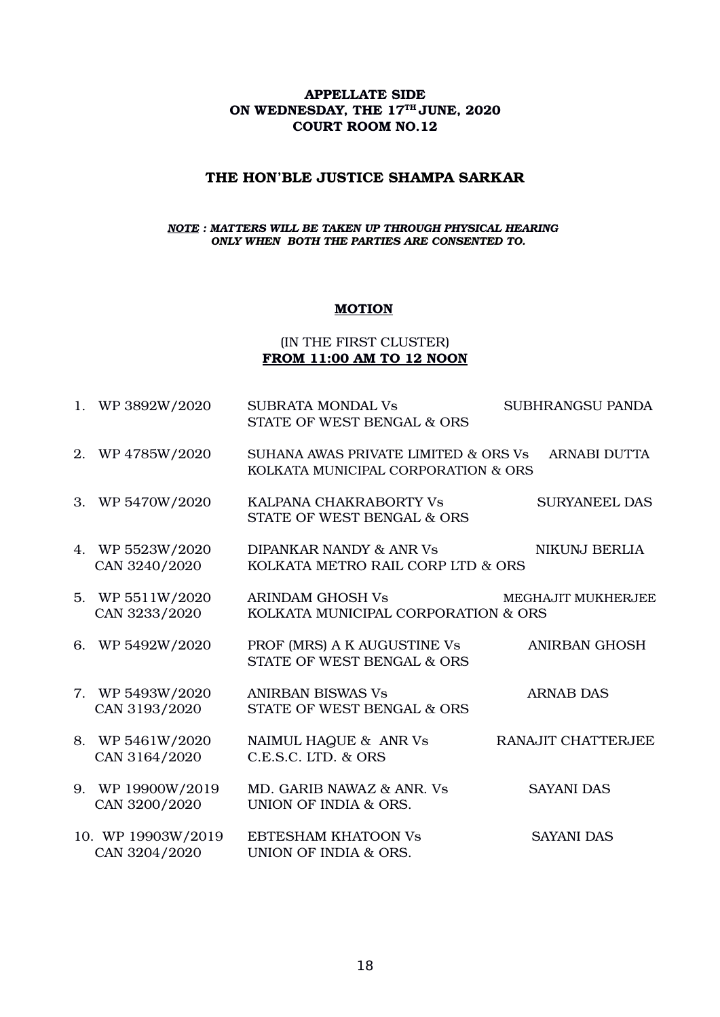#### THE HON'BLE JUSTICE SHAMPA SARKAR

#### *NOTE : MATTERS WILL BE TAKEN UP THROUGH PHYSICAL HEARING ONLY WHEN BOTH THE PARTIES ARE CONSENTED TO.*

### **MOTION**

### (IN THE FIRST CLUSTER) FROM 11:00 AM TO 12 NOON

|    | 1. WP 3892W/2020                    | <b>SUBRATA MONDAL Vs</b><br>STATE OF WEST BENGAL & ORS                      | SUBHRANGSU PANDA     |
|----|-------------------------------------|-----------------------------------------------------------------------------|----------------------|
|    | 2. WP 4785W/2020                    | SUHANA AWAS PRIVATE LIMITED & ORS Vs<br>KOLKATA MUNICIPAL CORPORATION & ORS | <b>ARNABI DUTTA</b>  |
| 3. | WP 5470W/2020                       | KALPANA CHAKRABORTY Vs<br>STATE OF WEST BENGAL & ORS                        | <b>SURYANEEL DAS</b> |
|    | 4. WP 5523W/2020<br>CAN 3240/2020   | DIPANKAR NANDY & ANR Vs<br>KOLKATA METRO RAIL CORP LTD & ORS                | <b>NIKUNJ BERLIA</b> |
|    | 5. WP 5511W/2020<br>CAN 3233/2020   | ARINDAM GHOSH Vs<br>KOLKATA MUNICIPAL CORPORATION & ORS                     | MEGHAJIT MUKHERJEE   |
|    | 6. WP 5492W/2020                    | PROF (MRS) A K AUGUSTINE Vs<br>STATE OF WEST BENGAL & ORS                   | <b>ANIRBAN GHOSH</b> |
|    | 7. WP 5493W/2020<br>CAN 3193/2020   | <b>ANIRBAN BISWAS Vs</b><br>STATE OF WEST BENGAL & ORS                      | <b>ARNAB DAS</b>     |
|    | 8. WP 5461W/2020<br>CAN 3164/2020   | NAIMUL HAQUE & ANR Vs<br>C.E.S.C. LTD. & ORS                                | RANAJIT CHATTERJEE   |
|    | 9. WP 19900W/2019<br>CAN 3200/2020  | MD. GARIB NAWAZ & ANR. Vs<br>UNION OF INDIA & ORS.                          | <b>SAYANI DAS</b>    |
|    | 10. WP 19903W/2019<br>CAN 3204/2020 | <b>EBTESHAM KHATOON Vs</b><br>UNION OF INDIA & ORS.                         | <b>SAYANI DAS</b>    |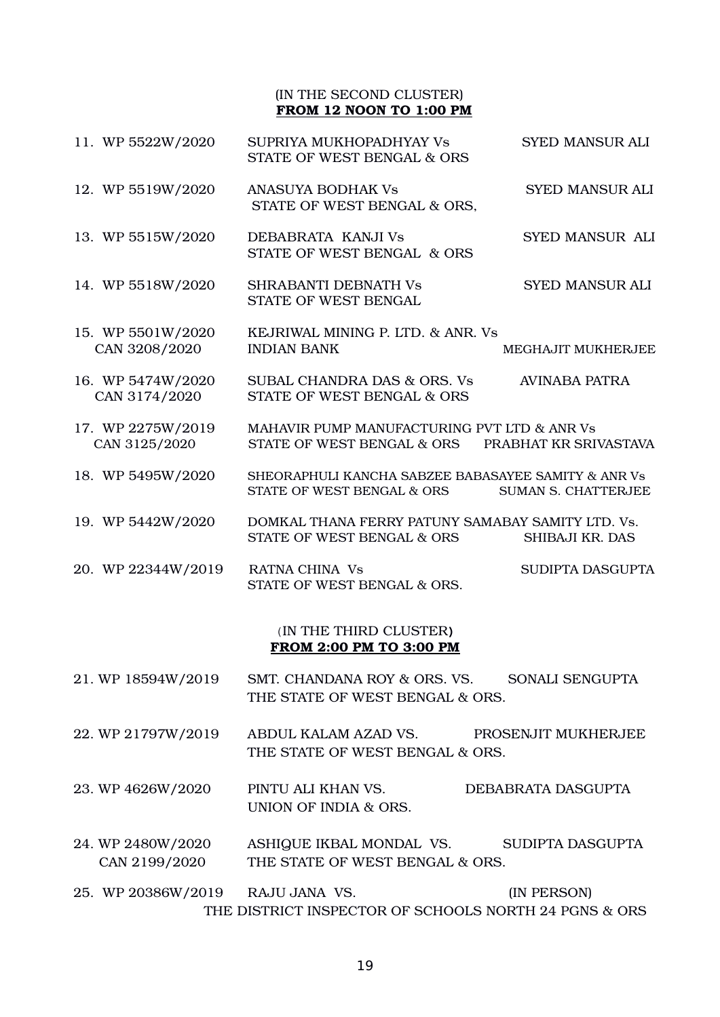#### (IN THE SECOND CLUSTER) FROM 12 NOON TO 1:00 PM

| 11. WP 5522W/2020                                        | SUPRIYA MUKHOPADHYAY Vs<br>STATE OF WEST BENGAL & ORS                                           | <b>SYED MANSUR ALI</b>     |  |  |
|----------------------------------------------------------|-------------------------------------------------------------------------------------------------|----------------------------|--|--|
| 12. WP 5519W/2020                                        | <b>ANASUYA BODHAK Vs</b><br>STATE OF WEST BENGAL & ORS.                                         | <b>SYED MANSUR ALI</b>     |  |  |
| 13. WP 5515W/2020                                        | DEBABRATA KANJI Vs<br>STATE OF WEST BENGAL & ORS                                                | SYED MANSUR ALI            |  |  |
| 14. WP 5518W/2020                                        | <b>SHRABANTI DEBNATH Vs</b><br>STATE OF WEST BENGAL                                             | <b>SYED MANSUR ALI</b>     |  |  |
| 15. WP 5501W/2020<br>CAN 3208/2020                       | KEJRIWAL MINING P. LTD. & ANR. Vs<br><b>INDIAN BANK</b>                                         | MEGHAJIT MUKHERJEE         |  |  |
| 16. WP 5474W/2020<br>CAN 3174/2020                       | SUBAL CHANDRA DAS & ORS. Vs<br>STATE OF WEST BENGAL & ORS                                       | <b>AVINABA PATRA</b>       |  |  |
| 17. WP 2275W/2019<br>CAN 3125/2020                       | MAHAVIR PUMP MANUFACTURING PVT LTD & ANR Vs<br>STATE OF WEST BENGAL & ORS PRABHAT KR SRIVASTAVA |                            |  |  |
| 18. WP 5495W/2020                                        | SHEORAPHULI KANCHA SABZEE BABASAYEE SAMITY & ANR Vs<br>STATE OF WEST BENGAL & ORS               | <b>SUMAN S. CHATTERJEE</b> |  |  |
| 19. WP 5442W/2020                                        | DOMKAL THANA FERRY PATUNY SAMABAY SAMITY LTD. Vs.<br>STATE OF WEST BENGAL & ORS                 | SHIBAJI KR. DAS            |  |  |
| 20. WP 22344W/2019                                       | RATNA CHINA Vs<br>STATE OF WEST BENGAL & ORS.                                                   | SUDIPTA DASGUPTA           |  |  |
| (IN THE THIRD CLUSTER)<br><b>FROM 2:00 PM TO 3:00 PM</b> |                                                                                                 |                            |  |  |
| 21. WP 18594W/2019                                       | SMT. CHANDANA ROY & ORS. VS.<br>THE STATE OF WEST BENGAL & ORS.                                 | SONALI SENGUPTA            |  |  |
| 22. WP 21797W/2019                                       | ABDUL KALAM AZAD VS.<br>THE STATE OF WEST BENGAL & ORS.                                         | PROSENJIT MUKHERJEE        |  |  |
| 23. WP 4626W/2020                                        | PINTU ALI KHAN VS.                                                                              | DEBABRATA DASGUPTA         |  |  |

24. WP 2480W/2020 ASHIQUE IKBAL MONDAL VS. SUDIPTA DASGUPTA CAN 2199/2020 THE STATE OF WEST BENGAL & ORS.

UNION OF INDIA & ORS.

25. WP 20386W/2019 RAJU JANA VS. (IN PERSON) THE DISTRICT INSPECTOR OF SCHOOLS NORTH 24 PGNS & ORS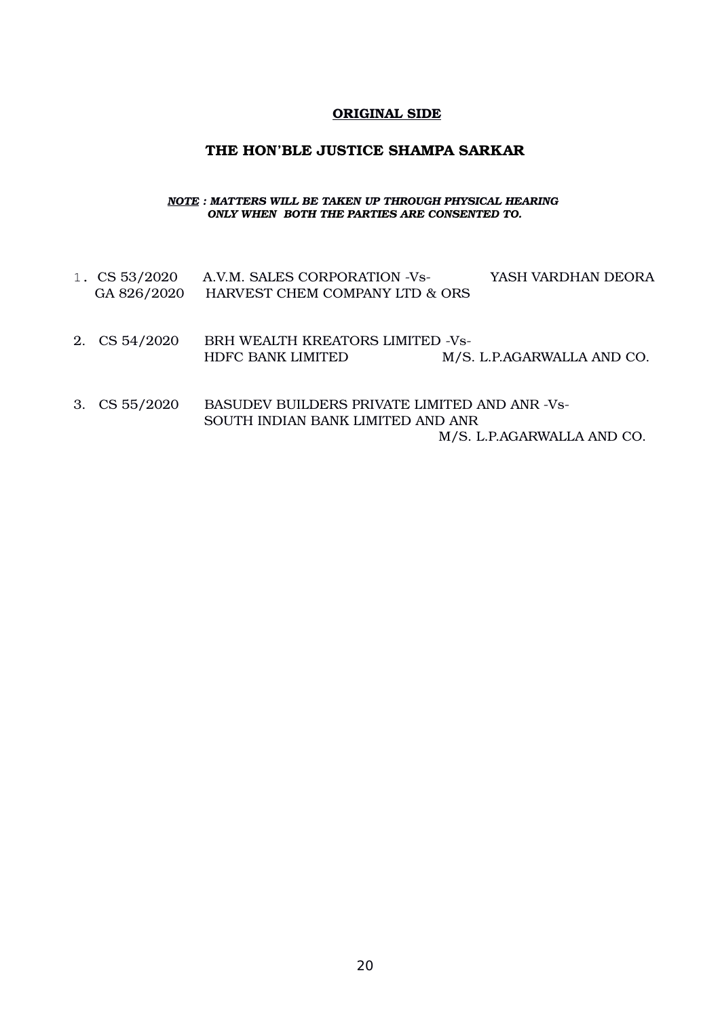### ORIGINAL SIDE

### THE HON'BLE JUSTICE SHAMPA SARKAR

#### *NOTE : MATTERS WILL BE TAKEN UP THROUGH PHYSICAL HEARING ONLY WHEN BOTH THE PARTIES ARE CONSENTED TO.*

| 1. $CS 53/2020$ | A.V.M. SALES CORPORATION -Vs-                        | YASH VARDHAN DEORA         |
|-----------------|------------------------------------------------------|----------------------------|
| GA 826/2020     | HARVEST CHEM COMPANY LTD & ORS                       |                            |
|                 |                                                      |                            |
|                 |                                                      |                            |
| 2. $CS 54/2020$ | BRH WEALTH KREATORS LIMITED -Vs-                     |                            |
|                 | <b>HDFC BANK LIMITED</b>                             | M/S. L.P.AGARWALLA AND CO. |
|                 |                                                      |                            |
|                 |                                                      |                            |
| 3. $CS 55/2020$ | <b>BASUDEV BUILDERS PRIVATE LIMITED AND ANR -Vs-</b> |                            |
|                 | SOUTH INDIAN BANK LIMITED AND ANR                    |                            |

M/S. L.P.AGARWALLA AND CO.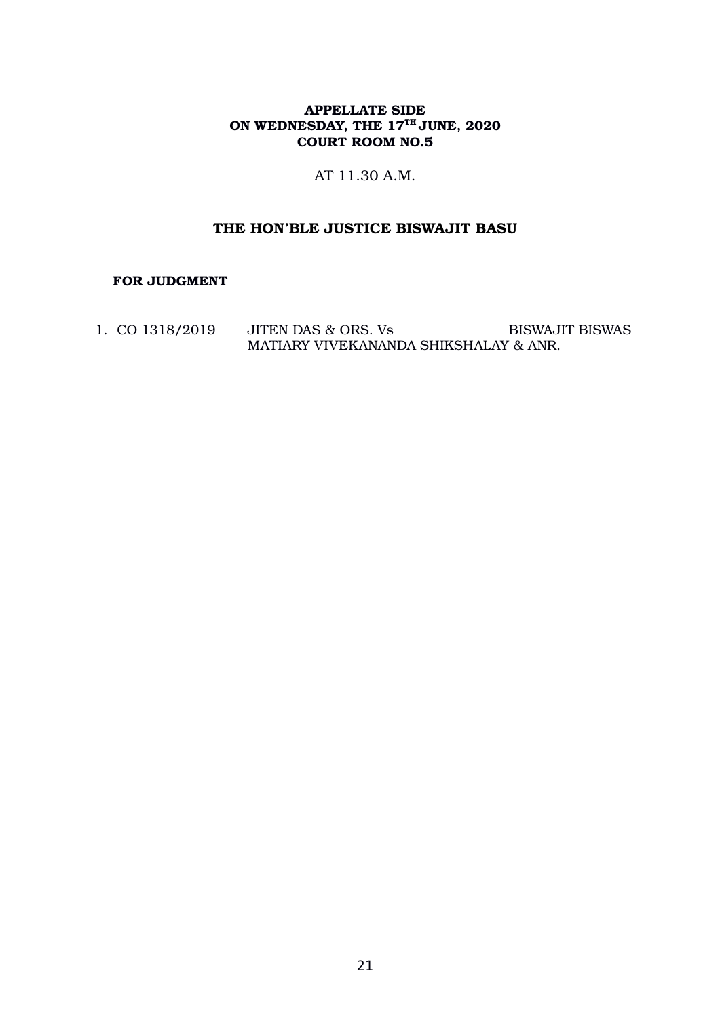AT 11.30 A.M.

# THE HON'BLE JUSTICE BISWAJIT BASU

### FOR JUDGMENT

1. CO  $1318/2019$  JITEN DAS & ORS. Vs BISWAJIT BISWAS MATIARY VIVEKANANDA SHIKSHALAY & ANR.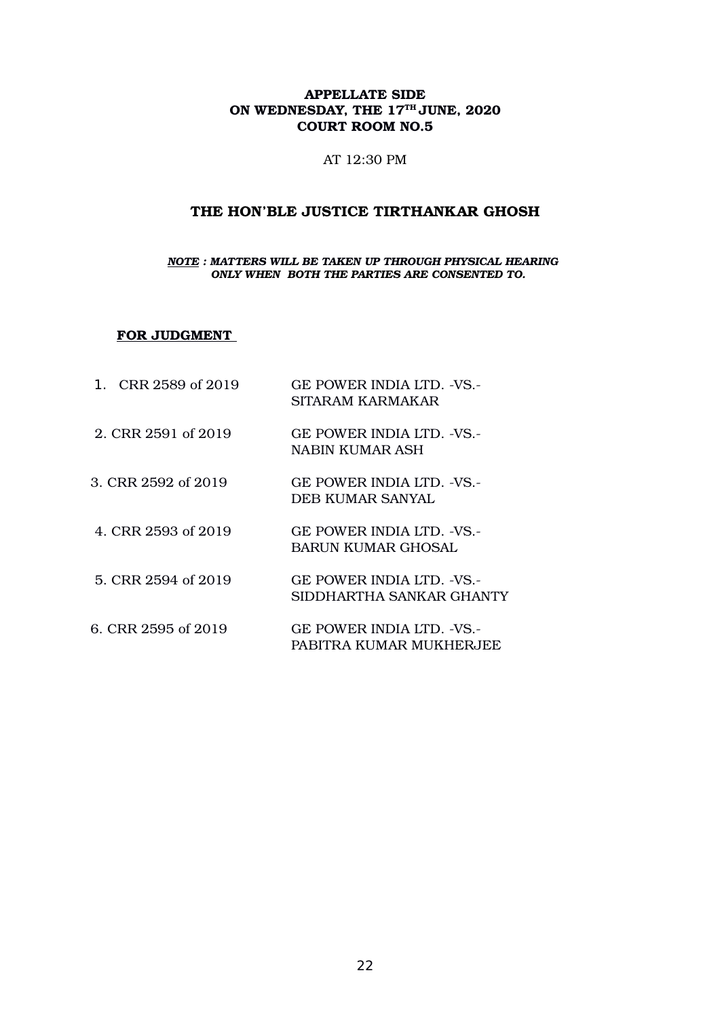#### AT 12:30 PM

# THE HON'BLE JUSTICE TIRTHANKAR GHOSH

#### *NOTE : MATTERS WILL BE TAKEN UP THROUGH PHYSICAL HEARING ONLY WHEN BOTH THE PARTIES ARE CONSENTED TO.*

#### FOR JUDGMENT

| 1. CRR 2589 of 2019 | GE POWER INDIA LTD. -VS.-<br>SITARAM KARMAKAR         |
|---------------------|-------------------------------------------------------|
| 2. CRR 2591 of 2019 | GE POWER INDIA LTD. -VS.-<br>NABIN KUMAR ASH          |
| 3. CRR 2592 of 2019 | GE POWER INDIA LTD. -VS.-<br>DEB KUMAR SANYAL         |
| 4. CRR 2593 of 2019 | GE POWER INDIA LTD. -VS.-<br>BARUN KUMAR GHOSAL       |
| 5. CRR 2594 of 2019 | GE POWER INDIA LTD. -VS.-<br>SIDDHARTHA SANKAR GHANTY |
| 6. CRR 2595 of 2019 | GE POWER INDIA LTD. -VS.-<br>PABITRA KUMAR MUKHERJEE  |